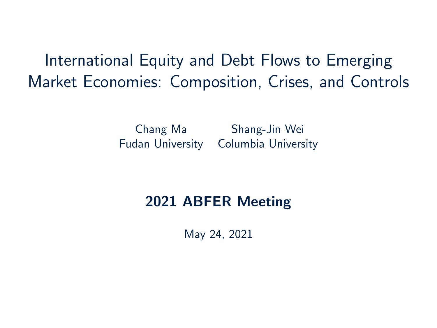<span id="page-0-0"></span>International Equity and Debt Flows to Emerging Market Economies: Composition, Crises, and Controls

> Chang Ma Shang-Jin Wei Fudan University Columbia University

#### 2021 ABFER Meeting

May 24, 2021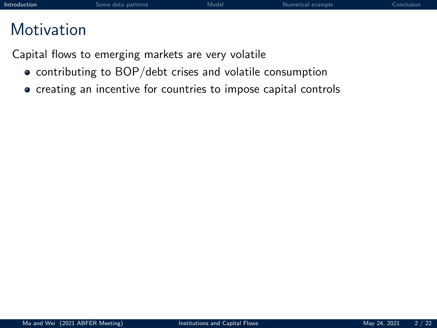<span id="page-1-0"></span>Capital flows to emerging markets are very volatile

- contributing to BOP/debt crises and volatile consumption
- creating an incentive for countries to impose capital controls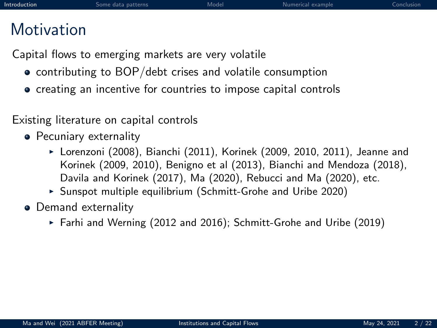Capital flows to emerging markets are very volatile

- contributing to BOP/debt crises and volatile consumption
- creating an incentive for countries to impose capital controls

Existing literature on capital controls

- Pecuniary externality
	- $\triangleright$  Lorenzoni (2008), Bianchi (2011), Korinek (2009, 2010, 2011), Jeanne and Korinek (2009, 2010), Benigno et al (2013), Bianchi and Mendoza (2018), Davila and Korinek (2017), Ma (2020), Rebucci and Ma (2020), etc.
	- $\triangleright$  Sunspot multiple equilibrium (Schmitt-Grohe and Uribe 2020)
- Demand externality
	- Farhi and Werning (2012 and 2016); Schmitt-Grohe and Uribe (2019)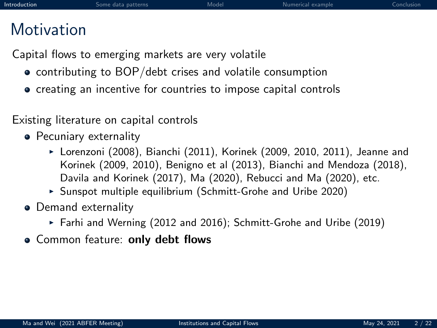Capital flows to emerging markets are very volatile

- contributing to BOP/debt crises and volatile consumption
- creating an incentive for countries to impose capital controls

Existing literature on capital controls

- Pecuniary externality
	- $\triangleright$  Lorenzoni (2008), Bianchi (2011), Korinek (2009, 2010, 2011), Jeanne and Korinek (2009, 2010), Benigno et al (2013), Bianchi and Mendoza (2018), Davila and Korinek (2017), Ma (2020), Rebucci and Ma (2020), etc.
	- $\triangleright$  Sunspot multiple equilibrium (Schmitt-Grohe and Uribe 2020)
- Demand externality
	- Farhi and Werning (2012 and 2016); Schmitt-Grohe and Uribe (2019)
- Common feature: only debt flows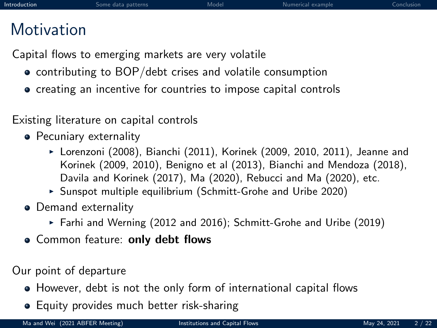Capital flows to emerging markets are very volatile

- contributing to BOP/debt crises and volatile consumption
- creating an incentive for countries to impose capital controls

Existing literature on capital controls

- Pecuniary externality
	- $\triangleright$  Lorenzoni (2008), Bianchi (2011), Korinek (2009, 2010, 2011), Jeanne and Korinek (2009, 2010), Benigno et al (2013), Bianchi and Mendoza (2018), Davila and Korinek (2017), Ma (2020), Rebucci and Ma (2020), etc.
	- $\triangleright$  Sunspot multiple equilibrium (Schmitt-Grohe and Uribe 2020)
- Demand externality
	- Farhi and Werning (2012 and 2016); Schmitt-Grohe and Uribe (2019)
- Common feature: only debt flows

Our point of departure

- However, debt is not the only form of international capital flows
- **•** Equity provides much better risk-sharing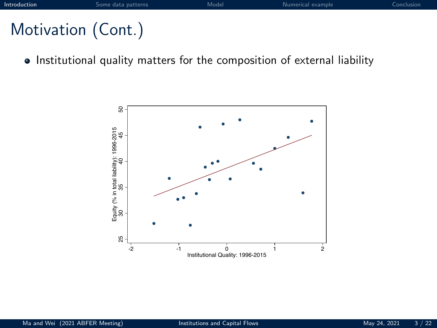# Motivation (Cont.)

• Institutional quality matters for the composition of external liability

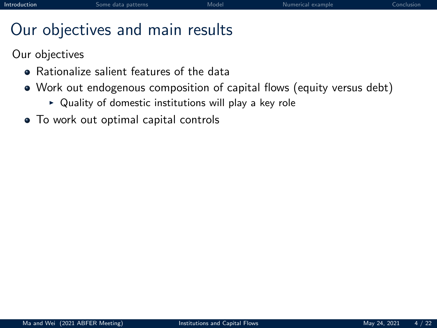# Our objectives and main results

Our objectives

- **•** Rationalize salient features of the data
- Work out endogenous composition of capital flows (equity versus debt)
	- $\triangleright$  Quality of domestic institutions will play a key role
- To work out optimal capital controls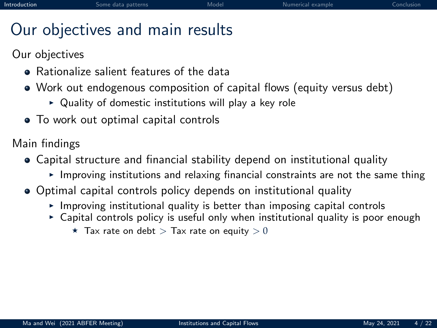# Our objectives and main results

Our objectives

- **•** Rationalize salient features of the data
- Work out endogenous composition of capital flows (equity versus debt)
	- $\triangleright$  Quality of domestic institutions will play a key role
- To work out optimal capital controls

Main findings

- Capital structure and financial stability depend on institutional quality
	- $\triangleright$  Improving institutions and relaxing financial constraints are not the same thing
- Optimal capital controls policy depends on institutional quality
	- $\triangleright$  Improving institutional quality is better than imposing capital controls
	- $\triangleright$  Capital controls policy is useful only when institutional quality is poor enough
		- $\star$  Tax rate on debt  $>$  Tax rate on equity  $>0$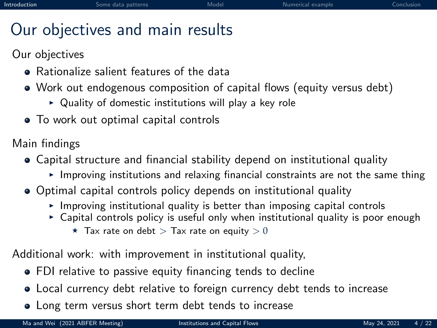# Our objectives and main results

Our objectives

- **•** Rationalize salient features of the data
- Work out endogenous composition of capital flows (equity versus debt)
	- $\triangleright$  Quality of domestic institutions will play a key role
- To work out optimal capital controls

Main findings

- Capital structure and financial stability depend on institutional quality
	- $\triangleright$  Improving institutions and relaxing financial constraints are not the same thing
- Optimal capital controls policy depends on institutional quality
	- $\triangleright$  Improving institutional quality is better than imposing capital controls
	- $\triangleright$  Capital controls policy is useful only when institutional quality is poor enough
		- $\star$  Tax rate on debt  $>$  Tax rate on equity  $>0$

Additional work: with improvement in institutional quality,

- FDI relative to passive equity financing tends to decline
- Local currency debt relative to foreign currency debt tends to increase
- Long term versus short term debt tends to increase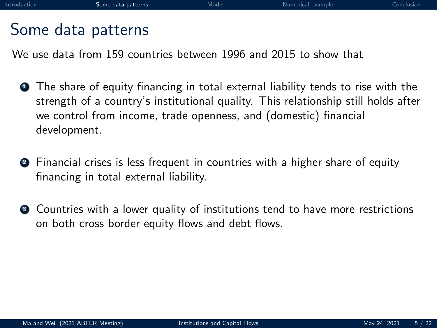#### <span id="page-9-0"></span>Some data patterns

We use data from 159 countries between 1996 and 2015 to show that

- **1** The share of equity financing in total external liability tends to rise with the strength of a country's institutional quality. This relationship still holds after we control from income, trade openness, and (domestic) financial development.
- <sup>2</sup> Financial crises is less frequent in countries with a higher share of equity financing in total external liability.
- **3** Countries with a lower quality of institutions tend to have more restrictions on both cross border equity flows and debt flows.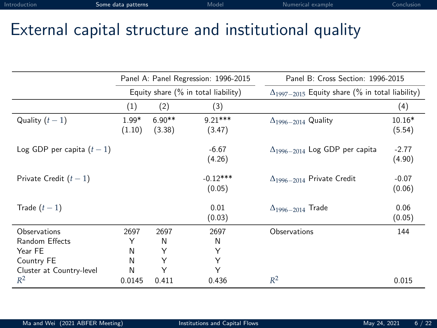## External capital structure and institutional quality

|                            |                   |                    | Panel A: Panel Regression: 1996-2015 | Panel B: Cross Section: 1996-2015                        |                    |  |  |  |
|----------------------------|-------------------|--------------------|--------------------------------------|----------------------------------------------------------|--------------------|--|--|--|
|                            |                   |                    | Equity share (% in total liability)  | $\Delta_{1997-2015}$ Equity share (% in total liability) |                    |  |  |  |
|                            | (1)               | (2)                | (3)                                  |                                                          | (4)                |  |  |  |
| Quality $(t-1)$            | $1.99*$<br>(1.10) | $6.90**$<br>(3.38) | $9.21***$<br>(3.47)                  | $\Delta_{1996-2014}$ Quality                             | $10.16*$<br>(5.54) |  |  |  |
| Log GDP per capita $(t-1)$ |                   |                    | $-6.67$<br>(4.26)                    | $\Delta_{1996-2014}$ Log GDP per capita                  | $-2.77$<br>(4.90)  |  |  |  |
| Private Credit $(t-1)$     |                   |                    | $-0.12***$<br>(0.05)                 | $\Delta_{1996-2014}$ Private Credit                      | $-0.07$<br>(0.06)  |  |  |  |
| Trade $(t-1)$              |                   |                    | 0.01<br>(0.03)                       | $\Delta_{1996-2014}$ Trade                               | 0.06<br>(0.05)     |  |  |  |
| Observations               | 2697              | 2697               | 2697                                 | Observations                                             | 144                |  |  |  |
| Random Effects             | Υ                 | N                  | N                                    |                                                          |                    |  |  |  |
| Year FE                    | N                 | Υ                  | Υ                                    |                                                          |                    |  |  |  |
| Country FE                 | N                 | Υ                  | Y                                    |                                                          |                    |  |  |  |
| Cluster at Country-level   | N                 | Υ                  | Υ                                    |                                                          |                    |  |  |  |
| $R^2$                      | 0.0145            | 0.411              | 0.436                                | $R^2$                                                    | 0.015              |  |  |  |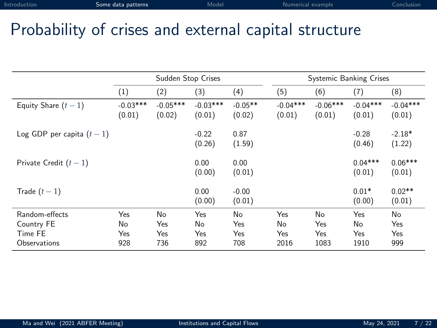## Probability of crises and external capital structure

|                                                         |                         | Sudden Stop Crises      |                         |                         |                          |                          | <b>Systemic Banking Crises</b> |                         |
|---------------------------------------------------------|-------------------------|-------------------------|-------------------------|-------------------------|--------------------------|--------------------------|--------------------------------|-------------------------|
|                                                         | (1)                     | (2)                     | (3)                     | (4)                     | (5)                      | (6)                      | (7)                            | (8)                     |
| Equity Share $(t-1)$                                    | $-0.03***$<br>(0.01)    | $-0.05***$<br>(0.02)    | $-0.03***$<br>(0.01)    | $-0.05**$<br>(0.02)     | $-0.04***$<br>(0.01)     | $-0.06***$<br>(0.01)     | $-0.04***$<br>(0.01)           | $-0.04***$<br>(0.01)    |
| Log GDP per capita $(t-1)$                              |                         |                         | $-0.22$<br>(0.26)       | 0.87<br>(1.59)          |                          |                          | $-0.28$<br>(0.46)              | $-2.18*$<br>(1.22)      |
| Private Credit $(t-1)$                                  |                         |                         | 0.00<br>(0.00)          | 0.00<br>(0.01)          |                          |                          | $0.04***$<br>(0.01)            | $0.06***$<br>(0.01)     |
| Trade $(t-1)$                                           |                         |                         | 0.00<br>(0.00)          | $-0.00$<br>(0.01)       |                          |                          | $0.01*$<br>(0.00)              | $0.02**$<br>(0.01)      |
| Random-effects<br>Country FE<br>Time FE<br>Observations | Yes<br>No<br>Yes<br>928 | No<br>Yes<br>Yes<br>736 | Yes<br>No<br>Yes<br>892 | No<br>Yes<br>Yes<br>708 | Yes<br>No<br>Yes<br>2016 | No<br>Yes<br>Yes<br>1083 | Yes<br>No<br>Yes<br>1910       | No<br>Yes<br>Yes<br>999 |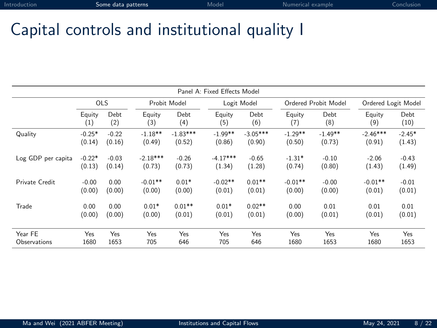## Capital controls and institutional quality I

|                    |          |            |            |              | Panel A: Fixed Effects Model |             |           |                      |                     |          |
|--------------------|----------|------------|------------|--------------|------------------------------|-------------|-----------|----------------------|---------------------|----------|
|                    |          | <b>OLS</b> |            | Probit Model |                              | Logit Model |           | Ordered Probit Model | Ordered Logit Model |          |
|                    | Equity   | Debt       | Equity     | Debt         | Equity                       | Debt        | Equity    | Debt                 | Equity              | Debt     |
|                    | (1)      | (2)        | (3)        | (4)          | (5)                          | (6)         | (7)       | (8)                  | (9)                 | (10)     |
| Quality            | $-0.25*$ | $-0.22$    | $-1.18**$  | $-1.83***$   | $-1.99**$                    | $-3.05***$  | $-1.29**$ | $-1.49**$            | $-2.46***$          | $-2.45*$ |
|                    | (0.14)   | (0.16)     | (0.49)     | (0.52)       | (0.86)                       | (0.90)      | (0.50)    | (0.73)               | (0.91)              | (1.43)   |
| Log GDP per capita | $-0.22*$ | $-0.03$    | $-2.18***$ | $-0.26$      | $-4.17***$                   | $-0.65$     | $-1.31*$  | $-0.10$              | $-2.06$             | $-0.43$  |
|                    | (0.13)   | (0.14)     | (0.73)     | (0.73)       | (1.34)                       | (1.28)      | (0.74)    | (0.80)               | (1.43)              | (1.49)   |
| Private Credit     | $-0.00$  | 0.00       | $-0.01**$  | $0.01*$      | $-0.02**$                    | $0.01**$    | $-0.01**$ | $-0.00$              | $-0.01**$           | $-0.01$  |
|                    | (0.00)   | (0.00)     | (0.00)     | (0.00)       | (0.01)                       | (0.01)      | (0.00)    | (0.00)               | (0.01)              | (0.01)   |
| Trade              | 0.00     | 0.00       | $0.01*$    | $0.01**$     | $0.01*$                      | $0.02**$    | 0.00      | 0.01                 | 0.01                | 0.01     |
|                    | (0.00)   | (0.00)     | (0.00)     | (0.01)       | (0.01)                       | (0.01)      | (0.00)    | (0.01)               | (0.01)              | (0.01)   |
| Year FF            | Yes      | Yes        | Yes        | Yes          | Yes                          | Yes         | Yes       | Yes                  | Yes                 | Yes      |
| Observations       | 1680     | 1653       | 705        | 646          | 705                          | 646         | 1680      | 1653                 | 1680                | 1653     |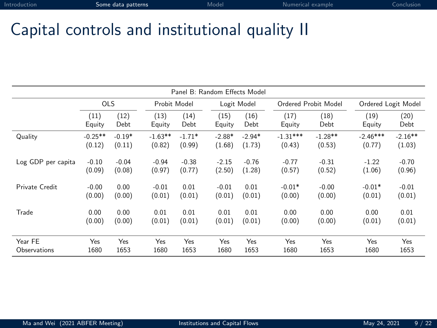## Capital controls and institutional quality II

|                         |                     |                    |                     |                    |                    | Panel B: Random Effects Model |                      |                      |                      |                     |
|-------------------------|---------------------|--------------------|---------------------|--------------------|--------------------|-------------------------------|----------------------|----------------------|----------------------|---------------------|
|                         | <b>OLS</b>          |                    | Probit Model        |                    |                    | Logit Model                   |                      | Ordered Probit Model |                      | Ordered Logit Model |
|                         | (11)<br>Equity      | (12)<br>Debt       | (13)<br>Equity      | (14)<br>Debt       | (15)<br>Equity     | (16)<br>Debt                  | (17)<br>Equity       | (18)<br>Debt         | (19)<br>Equity       | (20)<br>Debt        |
| Quality                 | $-0.25**$<br>(0.12) | $-0.19*$<br>(0.11) | $-1.63**$<br>(0.82) | $-1.71*$<br>(0.99) | $-2.88*$<br>(1.68) | $-2.94*$<br>(1.73)            | $-1.31***$<br>(0.43) | $-1.28**$<br>(0.53)  | $-2.46***$<br>(0.77) | $-2.16**$<br>(1.03) |
| Log GDP per capita      | $-0.10$<br>(0.09)   | $-0.04$<br>(0.08)  | $-0.94$<br>(0.97)   | $-0.38$<br>(0.77)  | $-2.15$<br>(2.50)  | $-0.76$<br>(1.28)             | $-0.77$<br>(0.57)    | $-0.31$<br>(0.52)    | $-1.22$<br>(1.06)    | $-0.70$<br>(0.96)   |
| Private Credit          | $-0.00$<br>(0.00)   | 0.00<br>(0.00)     | $-0.01$<br>(0.01)   | 0.01<br>(0.01)     | $-0.01$<br>(0.01)  | 0.01<br>(0.01)                | $-0.01*$<br>(0.00)   | $-0.00$<br>(0.00)    | $-0.01*$<br>(0.01)   | $-0.01$<br>(0.01)   |
| Trade                   | 0.00<br>(0.00)      | 0.00<br>(0.00)     | 0.01<br>(0.01)      | 0.01<br>(0.01)     | 0.01<br>(0.01)     | 0.01<br>(0.01)                | 0.00<br>(0.00)       | 0.00<br>(0.00)       | 0.00<br>(0.01)       | 0.01<br>(0.01)      |
| Year FE<br>Observations | Yes<br>1680         | Yes<br>1653        | Yes<br>1680         | Yes<br>1653        | Yes<br>1680        | Yes<br>1653                   | Yes<br>1680          | Yes<br>1653          | Yes<br>1680          | Yes<br>1653         |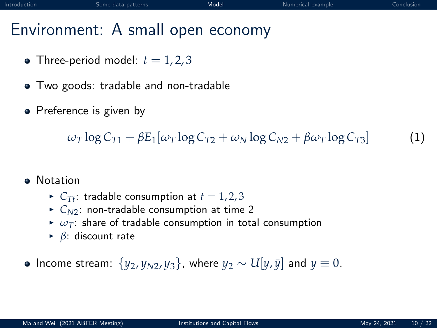## <span id="page-14-0"></span>Environment: A small open economy

- Three-period model:  $t = 1, 2, 3$
- Two goods: tradable and non-tradable
- Preference is given by

 $\omega_{\text{T}} \log C_{\text{T1}} + \beta E_1[\omega_{\text{T}} \log C_{\text{T2}} + \omega_{\text{N}} \log C_{\text{N2}} + \beta \omega_{\text{T}} \log C_{\text{T3}}]$  (1)

- **a** Notation
	- $\triangleright$  *C*<sub>*Tt*</sub>: tradable consumption at  $t = 1, 2, 3$
	- $\triangleright$   $C_{N2}$ : non-tradable consumption at time 2
	- $\triangleright \omega_T$ : share of tradable consumption in total consumption
	- <sup>I</sup> *β*: discount rate

 $\bullet$  Income stream:  $\{y_2, y_{N2}, y_3\}$ , where  $y_2 \sim U[y, \bar{y}]$  and  $y \equiv 0$ .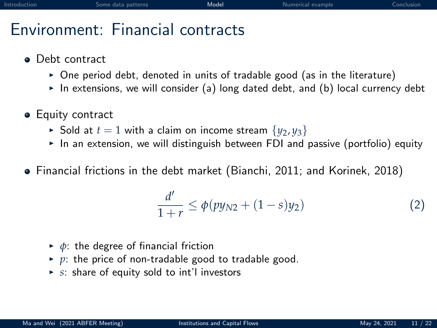# Environment: Financial contracts

- Debt contract
	- $\triangleright$  One period debt, denoted in units of tradable good (as in the literature)
	- In extensions, we will consider (a) long dated debt, and (b) local currency debt
- **•** Equity contract
	- $\triangleright$  Sold at  $t = 1$  with a claim on income stream  $\{v_2, v_3\}$
	- In an extension, we will distinguish between FDI and passive (portfolio) equity
- **•** Financial frictions in the debt market (Bianchi, 2011; and Korinek, 2018)

$$
\frac{d'}{1+r} \le \phi(py_{N2} + (1-s)y_2)
$$
 (2)

- $\rightarrow \phi$ : the degree of financial friction
- $\rightarrow$  p: the price of non-tradable good to tradable good.
- $\triangleright$  *s*: share of equity sold to int'l investors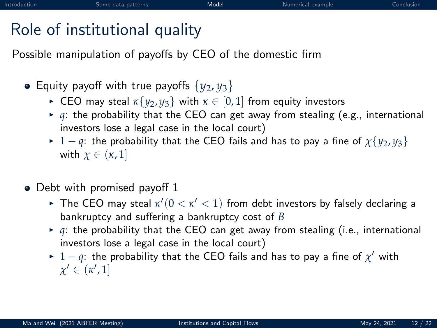# Role of institutional quality

Possible manipulation of payoffs by CEO of the domestic firm

- Equity payoff with true payoffs  $\{y_2, y_3\}$ 
	- ► CEO may steal  $\kappa \{y_2, y_3\}$  with  $\kappa \in [0, 1]$  from equity investors
	- $\rightarrow$  *q*: the probability that the CEO can get away from stealing (e.g., international investors lose a legal case in the local court)
	- ► 1 − *q*: the probability that the CEO fails and has to pay a fine of  $\chi\{y_2, y_3\}$ with  $\chi \in (\kappa, 1]$
- Debt with promised payoff 1
	- $\blacktriangleright$  The CEO may steal  $\kappa'(0<\kappa'<1)$  from debt investors by falsely declaring a bankruptcy and suffering a bankruptcy cost of *B*
	- $\blacktriangleright$  *q*: the probability that the CEO can get away from stealing (i.e., international investors lose a legal case in the local court)
	- ►  $1-q$ : the probability that the CEO fails and has to pay a fine of  $\chi'$  with  $\chi' \in (\kappa', 1]$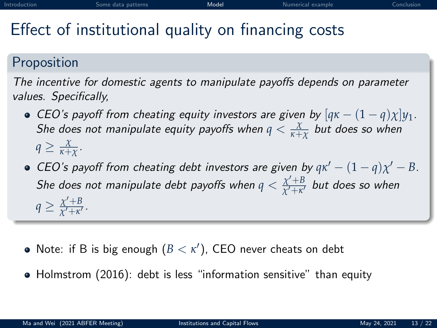# Effect of institutional quality on financing costs

#### Proposition

The incentive for domestic agents to manipulate payoffs depends on parameter values. Specifically,

- CEO's payoff from cheating equity investors are given by  $[q\kappa (1 q)\chi]y_1$ . She does not manipulate equity payoffs when  $q < \frac{\chi}{\kappa+\chi}$  but does so when  $q \geq \frac{\chi}{\kappa+\chi}$ .
- CEO's payoff from cheating debt investors are given by  $q\kappa' (1 q)\chi' B$ . She does not manipulate debt payoffs when  $q < \frac{\chi' + B}{\chi' + \kappa'}$  $\frac{\chi+p}{\chi'+\kappa'}$  but does so when  $q \geq \frac{\chi' + B}{\chi' + \kappa'}$  $\frac{\chi + b}{\chi' + \kappa'}$ .
- Note: if B is big enough  $(B < \kappa')$ , CEO never cheats on debt
- Holmstrom (2016): debt is less "information sensitive" than equity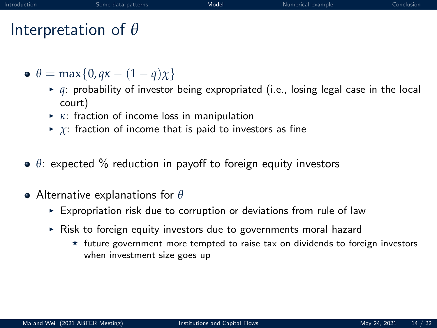# Interpretation of *θ*

- $\theta = \max\{0, q\kappa (1 q)\chi\}$ 
	- $\rightarrow$  *q*: probability of investor being expropriated (i.e., losing legal case in the local court)
	- **►** *κ*: fraction of income loss in manipulation
	- $\triangleright$  *χ*: fraction of income that is paid to investors as fine
- *θ*: expected % reduction in payoff to foreign equity investors
- Alternative explanations for *θ*
	- $\triangleright$  Expropriation risk due to corruption or deviations from rule of law
	- $\triangleright$  Risk to foreign equity investors due to governments moral hazard
		- $\star$  future government more tempted to raise tax on dividends to foreign investors when investment size goes up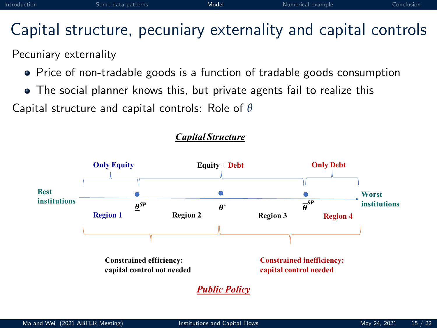# Capital structure, pecuniary externality and capital controls

#### Pecuniary externality

- Price of non-tradable goods is a function of tradable goods consumption
- The social planner knows this, but private agents fail to realize this

Capital structure and capital controls: Role of *θ*



#### *Capital Structure*

*Public Policy*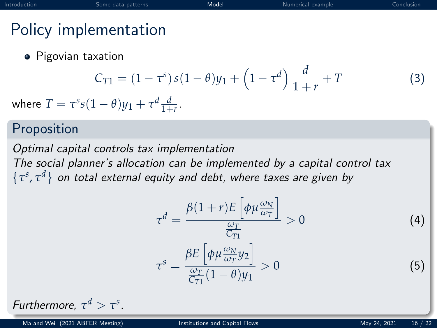# Policy implementation

**•** Pigovian taxation

$$
C_{T1} = (1 - \tau^s) s (1 - \theta) y_1 + \left(1 - \tau^d\right) \frac{d}{1 + r} + T \tag{3}
$$

where  $T = \tau^s s (1 - \theta) y_1 + \tau^d \frac{d}{1+r}$ .

#### Proposition

Optimal capital controls tax implementation The social planner's allocation can be implemented by a capital control tax  $\{\tau^s, \tau^d\}$  on total external equity and debt, where taxes are given by

$$
\tau^{d} = \frac{\beta(1+r)E\left[\phi\mu\frac{\omega_{N}}{\omega_{T}}\right]}{\frac{\omega_{T}}{C_{T1}}} > 0
$$
\n
$$
\tau^{s} = \frac{\beta E\left[\phi\mu\frac{\omega_{N}}{\omega_{T}}y_{2}\right]}{\frac{\omega_{T}}{C_{T1}}(1-\theta)y_{1}} > 0
$$
\n(5)

Furthermore, 
$$
\tau^d > \tau^s
$$
.

Ma and Wei (2021 ABFER Meeting) [Institutions and Capital Flows](#page-0-0) May 24, 2021 16 / 22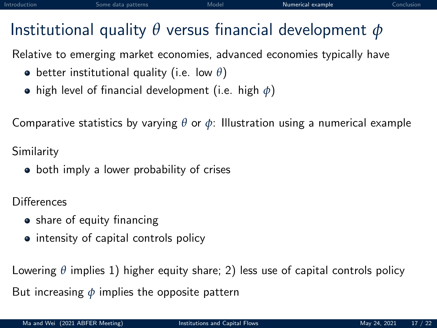# <span id="page-21-0"></span>Institutional quality *θ* versus financial development *φ*

Relative to emerging market economies, advanced economies typically have

- better institutional quality (i.e. low *θ*)
- high level of financial development (i.e. high *φ*)

Comparative statistics by varying *θ* or *φ*: Illustration using a numerical example

Similarity

• both imply a lower probability of crises

**Differences** 

- share of equity financing
- intensity of capital controls policy

Lowering *θ* implies 1) higher equity share; 2) less use of capital controls policy But increasing *φ* implies the opposite pattern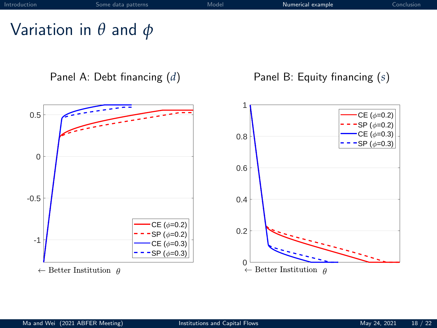# Variation in *θ* and *φ*



 $\leftarrow$  Better Institution  $\theta$ 

Panel A: Debt financing (*d*) Panel B: Equity financing (*s*)

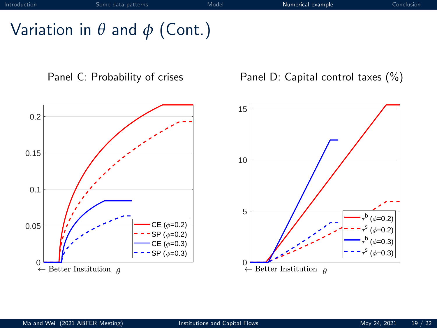# Variation in *θ* and *φ* (Cont.)



Panel C: Probability of crises Panel D: Capital control taxes (%)

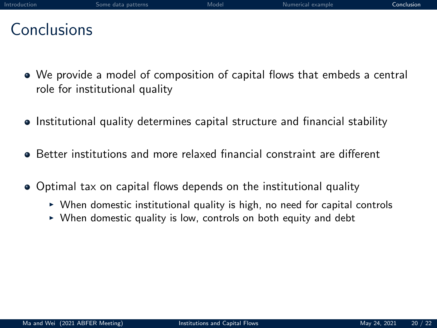<span id="page-24-0"></span>

| Introduction |  |  |  |  |
|--------------|--|--|--|--|
|              |  |  |  |  |

#### Conclusions

- We provide a model of composition of capital flows that embeds a central role for institutional quality
- Institutional quality determines capital structure and financial stability
- Better institutions and more relaxed financial constraint are different
- Optimal tax on capital flows depends on the institutional quality
	- $\triangleright$  When domestic institutional quality is high, no need for capital controls
	- $\triangleright$  When domestic quality is low, controls on both equity and debt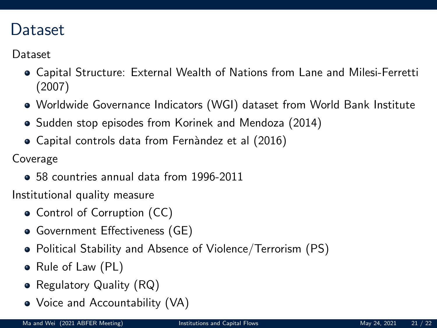#### Dataset

Dataset

- Capital Structure: External Wealth of Nations from Lane and Milesi-Ferretti (2007)
- Worldwide Governance Indicators (WGI) dataset from World Bank Institute
- Sudden stop episodes from Korinek and Mendoza (2014)
- Capital controls data from Fernàndez et al (2016)

Coverage

58 countries annual data from 1996-2011

Institutional quality measure

- Control of Corruption (CC)
- Government Effectiveness (GE)
- Political Stability and Absence of Violence/Terrorism (PS)
- Rule of Law (PL)
- Regulatory Quality (RQ)
- Voice and Accountability (VA)